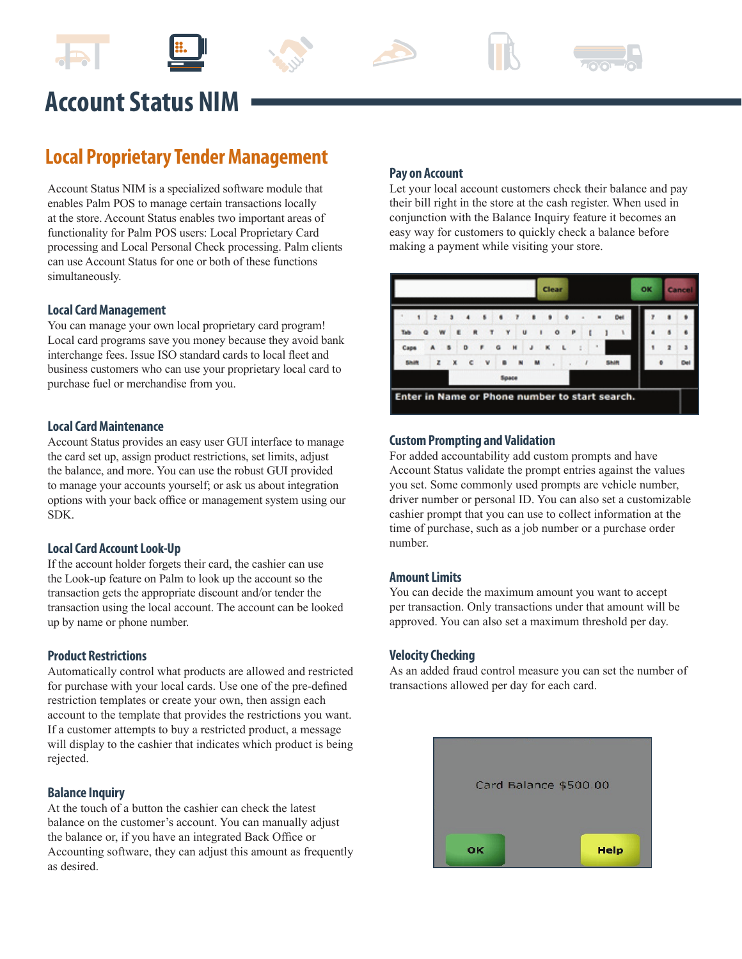









# **Account Status NIM**

# **Local Proprietary Tender Management**

Account Status NIM is a specialized software module that enables Palm POS to manage certain transactions locally at the store. Account Status enables two important areas of functionality for Palm POS users: Local Proprietary Card processing and Local Personal Check processing. Palm clients can use Account Status for one or both of these functions simultaneously.

# **Local Card Management**

You can manage your own local proprietary card program! Local card programs save you money because they avoid bank interchange fees. Issue ISO standard cards to local fleet and business customers who can use your proprietary local card to purchase fuel or merchandise from you.

#### **Local Card Maintenance**

Account Status provides an easy user GUI interface to manage the card set up, assign product restrictions, set limits, adjust the balance, and more. You can use the robust GUI provided to manage your accounts yourself; or ask us about integration options with your back office or management system using our SDK.

#### **Local Card Account Look-Up**

If the account holder forgets their card, the cashier can use the Look-up feature on Palm to look up the account so the transaction gets the appropriate discount and/or tender the transaction using the local account. The account can be looked up by name or phone number.

#### **Product Restrictions**

Automatically control what products are allowed and restricted for purchase with your local cards. Use one of the pre-defined restriction templates or create your own, then assign each account to the template that provides the restrictions you want. If a customer attempts to buy a restricted product, a message will display to the cashier that indicates which product is being rejected.

#### **Balance Inquiry**

At the touch of a button the cashier can check the latest balance on the customer's account. You can manually adjust the balance or, if you have an integrated Back Office or Accounting software, they can adjust this amount as frequently as desired.

#### **Pay on Account**

Let your local account customers check their balance and pay their bill right in the store at the cash register. When used in conjunction with the Balance Inquiry feature it becomes an easy way for customers to quickly check a balance before making a payment while visiting your store.



#### **Custom Prompting and Validation**

For added accountability add custom prompts and have Account Status validate the prompt entries against the values you set. Some commonly used prompts are vehicle number, driver number or personal ID. You can also set a customizable cashier prompt that you can use to collect information at the time of purchase, such as a job number or a purchase order number.

#### **Amount Limits**

You can decide the maximum amount you want to accept per transaction. Only transactions under that amount will be approved. You can also set a maximum threshold per day.

#### **Velocity Checking**

As an added fraud control measure you can set the number of transactions allowed per day for each card.